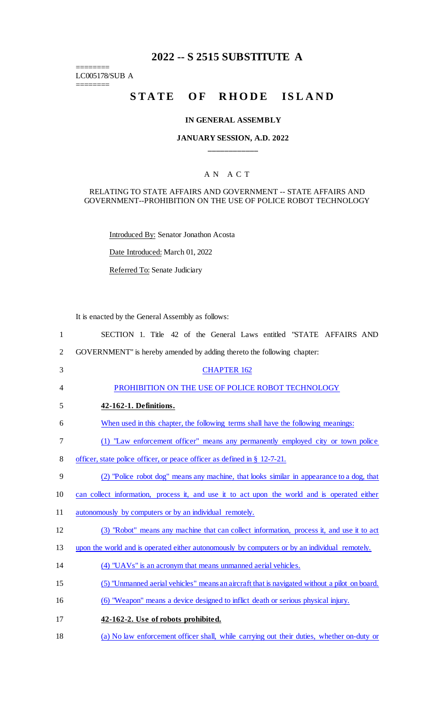# **2022 -- S 2515 SUBSTITUTE A**

LC005178/SUB A  $=$ 

 $=$ 

# STATE OF RHODE ISLAND

## **IN GENERAL ASSEMBLY**

# **JANUARY SESSION, A.D. 2022 \_\_\_\_\_\_\_\_\_\_\_\_**

# A N A C T

## RELATING TO STATE AFFAIRS AND GOVERNMENT -- STATE AFFAIRS AND GOVERNMENT--PROHIBITION ON THE USE OF POLICE ROBOT TECHNOLOGY

Introduced By: Senator Jonathon Acosta

Date Introduced: March 01, 2022

Referred To: Senate Judiciary

It is enacted by the General Assembly as follows:

| $\mathbf{1}$   | SECTION 1. Title 42 of the General Laws entitled "STATE AFFAIRS AND                           |
|----------------|-----------------------------------------------------------------------------------------------|
| $\overline{2}$ | GOVERNMENT" is hereby amended by adding thereto the following chapter:                        |
| 3              | <b>CHAPTER 162</b>                                                                            |
| 4              | PROHIBITION ON THE USE OF POLICE ROBOT TECHNOLOGY                                             |
| 5              | 42-162-1. Definitions.                                                                        |
| 6              | When used in this chapter, the following terms shall have the following meanings:             |
| $\tau$         | (1) "Law enforcement officer" means any permanently employed city or town police              |
| 8              | officer, state police officer, or peace officer as defined in § 12-7-21.                      |
| 9              | (2) "Police robot dog" means any machine, that looks similar in appearance to a dog, that     |
| 10             | can collect information, process it, and use it to act upon the world and is operated either  |
| 11             | autonomously by computers or by an individual remotely.                                       |
| 12             | (3) "Robot" means any machine that can collect information, process it, and use it to act     |
| 13             | upon the world and is operated either autonomously by computers or by an individual remotely. |
| 14             | (4) "UAVs" is an acronym that means unmanned aerial vehicles.                                 |
| 15             | (5) "Unmanned aerial vehicles" means an aircraft that is navigated without a pilot on board.  |
| 16             | (6) "Weapon" means a device designed to inflict death or serious physical injury.             |
| 17             | 42-162-2. Use of robots prohibited.                                                           |
| 18             | (a) No law enforcement officer shall, while carrying out their duties, whether on-duty or     |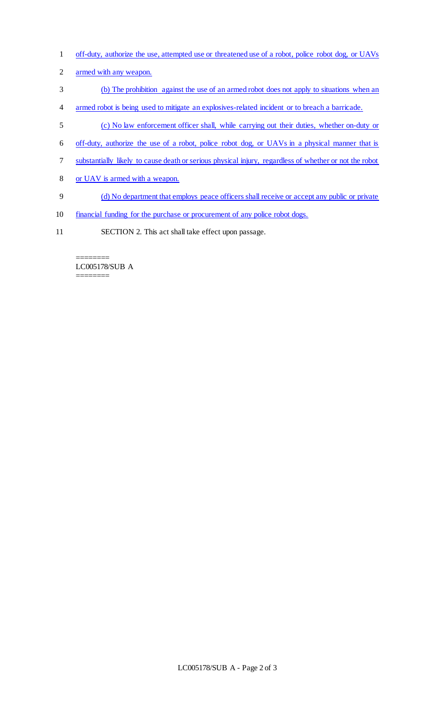- off-duty, authorize the use, attempted use or threatened use of a robot, police robot dog, or UAVs
- armed with any weapon.
- (b) The prohibition against the use of an armed robot does not apply to situations when an
- armed robot is being used to mitigate an explosives-related incident or to breach a barricade.
- (c) No law enforcement officer shall, while carrying out their duties, whether on-duty or
- off-duty, authorize the use of a robot, police robot dog, or UAVs in a physical manner that is
- substantially likely to cause death or serious physical injury, regardless of whether or not the robot
- or UAV is armed with a weapon.
- (d) No department that employs peace officers shall receive or accept any public or private
- financial funding for the purchase or procurement of any police robot dogs.
- SECTION 2. This act shall take effect upon passage.

LC005178/SUB A ========

========